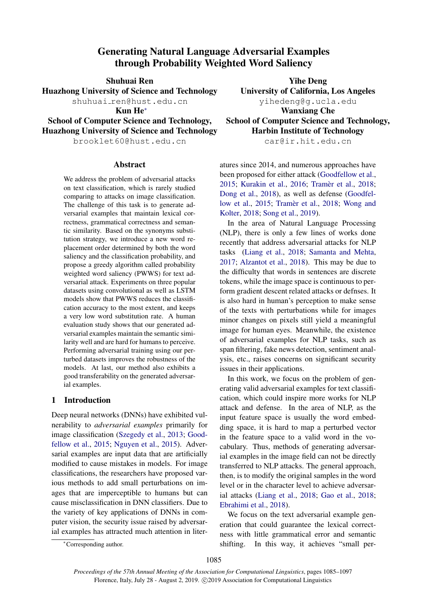# Generating Natural Language Adversarial Examples through Probability Weighted Word Saliency

Huazhong University of Science and Technology University of California, Los Angeles shuhuai\_ren@hust.edu.cn yihedeng@g.ucla.edu

Huazhong University of Science and Technology Harbin Institute of Technology

brooklet60@hust.edu.cn car@ir.hit.edu.cn

## Abstract

We address the problem of adversarial attacks on text classification, which is rarely studied comparing to attacks on image classification. The challenge of this task is to generate adversarial examples that maintain lexical correctness, grammatical correctness and semantic similarity. Based on the synonyms substitution strategy, we introduce a new word replacement order determined by both the word saliency and the classification probability, and propose a greedy algorithm called probability weighted word saliency (PWWS) for text adversarial attack. Experiments on three popular datasets using convolutional as well as LSTM models show that PWWS reduces the classification accuracy to the most extent, and keeps a very low word substitution rate. A human evaluation study shows that our generated adversarial examples maintain the semantic similarity well and are hard for humans to perceive. Performing adversarial training using our perturbed datasets improves the robustness of the models. At last, our method also exhibits a good transferability on the generated adversarial examples.

## 1 Introduction

Deep neural networks (DNNs) have exhibited vulnerability to *adversarial examples* primarily for image classification [\(Szegedy et al.,](#page-9-0) [2013;](#page-9-0) [Good](#page-8-0)[fellow et al.,](#page-8-0) [2015;](#page-8-0) [Nguyen et al.,](#page-9-1) [2015\)](#page-9-1). Adversarial examples are input data that are artificially modified to cause mistakes in models. For image classifications, the researchers have proposed various methods to add small perturbations on images that are imperceptible to humans but can cause misclassification in DNN classifiers. Due to the variety of key applications of DNNs in computer vision, the security issue raised by adversarial examples has attracted much attention in liter-

Shuhuai Ren Yihe Deng Kun He<sup>∗</sup> Wanxiang Che School of Computer Science and Technology, School of Computer Science and Technology,

atures since 2014, and numerous approaches have been proposed for either attack [\(Goodfellow et al.,](#page-8-0) [2015;](#page-8-0) [Kurakin et al.,](#page-8-1) [2016;](#page-8-1) Tramèr et al., [2018;](#page-9-2) [Dong et al.,](#page-8-2) [2018\)](#page-8-2), as well as defense [\(Goodfel](#page-8-0)[low et al.,](#page-8-0) [2015;](#page-8-0) Tramèr et al., [2018;](#page-9-2) [Wong and](#page-9-3) [Kolter,](#page-9-3) [2018;](#page-9-3) [Song et al.,](#page-9-4) [2019\)](#page-9-4).

In the area of Natural Language Processing (NLP), there is only a few lines of works done recently that address adversarial attacks for NLP tasks [\(Liang et al.,](#page-8-3) [2018;](#page-8-3) [Samanta and Mehta,](#page-9-5) [2017;](#page-9-5) [Alzantot et al.,](#page-8-4) [2018\)](#page-8-4). This may be due to the difficulty that words in sentences are discrete tokens, while the image space is continuous to perform gradient descent related attacks or defnses. It is also hard in human's perception to make sense of the texts with perturbations while for images minor changes on pixels still yield a meaningful image for human eyes. Meanwhile, the existence of adversarial examples for NLP tasks, such as span filtering, fake news detection, sentiment analysis, etc., raises concerns on significant security issues in their applications.

In this work, we focus on the problem of generating valid adversarial examples for text classification, which could inspire more works for NLP attack and defense. In the area of NLP, as the input feature space is usually the word embedding space, it is hard to map a perturbed vector in the feature space to a valid word in the vocabulary. Thus, methods of generating adversarial examples in the image field can not be directly transferred to NLP attacks. The general approach, then, is to modify the original samples in the word level or in the character level to achieve adversarial attacks [\(Liang et al.,](#page-8-3) [2018;](#page-8-3) [Gao et al.,](#page-8-5) [2018;](#page-8-5) [Ebrahimi et al.,](#page-8-6) [2018\)](#page-8-6).

We focus on the text adversarial example generation that could guarantee the lexical correctness with little grammatical error and semantic shifting. In this way, it achieves "small per-

<sup>∗</sup>Corresponding author.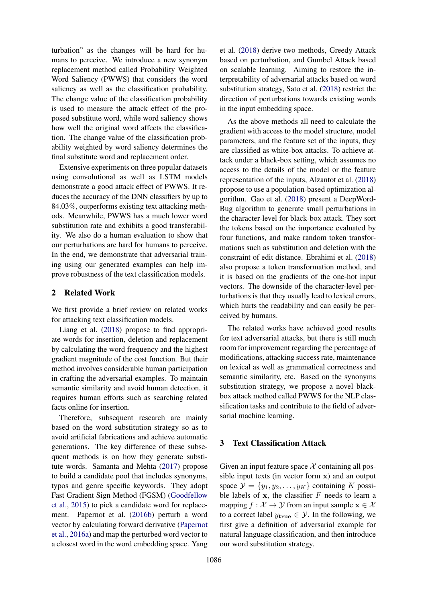turbation" as the changes will be hard for humans to perceive. We introduce a new synonym replacement method called Probability Weighted Word Saliency (PWWS) that considers the word saliency as well as the classification probability. The change value of the classification probability is used to measure the attack effect of the proposed substitute word, while word saliency shows how well the original word affects the classification. The change value of the classification probability weighted by word saliency determines the final substitute word and replacement order.

Extensive experiments on three popular datasets using convolutional as well as LSTM models demonstrate a good attack effect of PWWS. It reduces the accuracy of the DNN classifiers by up to 84.03%, outperforms existing text attacking methods. Meanwhile, PWWS has a much lower word substitution rate and exhibits a good transferability. We also do a human evaluation to show that our perturbations are hard for humans to perceive. In the end, we demonstrate that adversarial training using our generated examples can help improve robustness of the text classification models.

## 2 Related Work

We first provide a brief review on related works for attacking text classification models.

Liang et al. [\(2018\)](#page-8-3) propose to find appropriate words for insertion, deletion and replacement by calculating the word frequency and the highest gradient magnitude of the cost function. But their method involves considerable human participation in crafting the adversarial examples. To maintain semantic similarity and avoid human detection, it requires human efforts such as searching related facts online for insertion.

Therefore, subsequent research are mainly based on the word substitution strategy so as to avoid artificial fabrications and achieve automatic generations. The key difference of these subsequent methods is on how they generate substitute words. Samanta and Mehta [\(2017\)](#page-9-5) propose to build a candidate pool that includes synonyms, typos and genre specific keywords. They adopt Fast Gradient Sign Method (FGSM) [\(Goodfellow](#page-8-0) [et al.,](#page-8-0) [2015\)](#page-8-0) to pick a candidate word for replacement. Papernot et al. [\(2016b\)](#page-9-6) perturb a word vector by calculating forward derivative [\(Papernot](#page-9-7) [et al.,](#page-9-7) [2016a\)](#page-9-7) and map the perturbed word vector to a closest word in the word embedding space. Yang

et al. [\(2018\)](#page-9-8) derive two methods, Greedy Attack based on perturbation, and Gumbel Attack based on scalable learning. Aiming to restore the interpretability of adversarial attacks based on word substitution strategy, Sato et al. [\(2018\)](#page-9-9) restrict the direction of perturbations towards existing words in the input embedding space.

As the above methods all need to calculate the gradient with access to the model structure, model parameters, and the feature set of the inputs, they are classified as white-box attacks. To achieve attack under a black-box setting, which assumes no access to the details of the model or the feature representation of the inputs, Alzantot et al. [\(2018\)](#page-8-4) propose to use a population-based optimization algorithm. Gao et al. [\(2018\)](#page-8-5) present a DeepWord-Bug algorithm to generate small perturbations in the character-level for black-box attack. They sort the tokens based on the importance evaluated by four functions, and make random token transformations such as substitution and deletion with the constraint of edit distance. Ebrahimi et al. [\(2018\)](#page-8-6) also propose a token transformation method, and it is based on the gradients of the one-hot input vectors. The downside of the character-level perturbations is that they usually lead to lexical errors, which hurts the readability and can easily be perceived by humans.

The related works have achieved good results for text adversarial attacks, but there is still much room for improvement regarding the percentage of modifications, attacking success rate, maintenance on lexical as well as grammatical correctness and semantic similarity, etc. Based on the synonyms substitution strategy, we propose a novel blackbox attack method called PWWS for the NLP classification tasks and contribute to the field of adversarial machine learning.

## 3 Text Classification Attack

Given an input feature space  $X$  containing all possible input texts (in vector form x) and an output space  $\mathcal{Y} = \{y_1, y_2, \dots, y_K\}$  containing K possible labels of  $x$ , the classifier  $F$  needs to learn a mapping  $f : \mathcal{X} \to \mathcal{Y}$  from an input sample  $\mathbf{x} \in \mathcal{X}$ to a correct label  $y_{true} \in \mathcal{Y}$ . In the following, we first give a definition of adversarial example for natural language classification, and then introduce our word substitution strategy.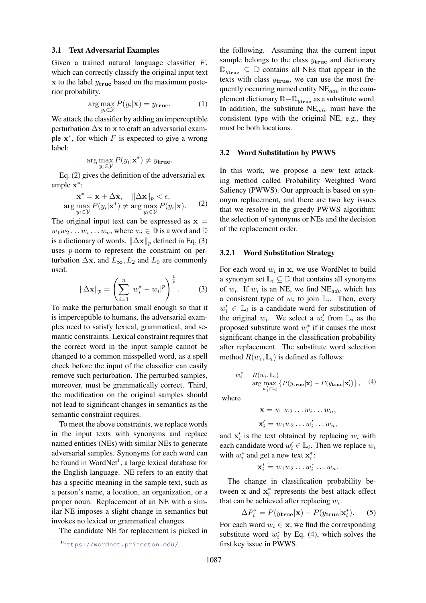#### 3.1 Text Adversarial Examples

Given a trained natural language classifier  $F$ , which can correctly classify the original input text  $x$  to the label  $y_{true}$  based on the maximum posterior probability.

$$
\arg\max_{y_i \in \mathcal{Y}} P(y_i|\mathbf{x}) = y_{\text{true}}.\tag{1}
$$

We attack the classifier by adding an imperceptible perturbation  $\Delta x$  to x to craft an adversarial example  $x^*$ , for which  $F$  is expected to give a wrong label:

<span id="page-2-0"></span>
$$
\arg\max_{y_i \in \mathcal{Y}} P(y_i|\mathbf{x}^*) \neq y_{\mathbf{true}}.
$$

Eq. [\(2\)](#page-2-0) gives the definition of the adversarial example x ∗ :

$$
\mathbf{x}^* = \mathbf{x} + \Delta \mathbf{x}, \quad \|\Delta \mathbf{x}\|_p < \epsilon,
$$
  
arg max  $P(y_i|\mathbf{x}^*) \neq \arg \max_{y_i \in \mathcal{Y}} P(y_i|\mathbf{x}).$  (2)

The original input text can be expressed as  $x =$  $w_1w_2 \ldots w_i \ldots w_n$ , where  $w_i \in \mathbb{D}$  is a word and  $\mathbb{D}$ is a dictionary of words.  $\|\Delta \mathbf{x}\|_p$  defined in Eq. [\(3\)](#page-2-1) uses p-norm to represent the constraint on perturbation  $\Delta$ x, and  $L_{\infty}$ ,  $L_2$  and  $L_0$  are commonly used.

<span id="page-2-1"></span>
$$
\|\Delta \mathbf{x}\|_{p} = \left(\sum_{i=1}^{n} |w_{i}^{*} - w_{i}|^{p}\right)^{\frac{1}{p}}.
$$
 (3)

To make the perturbation small enough so that it is imperceptible to humans, the adversarial examples need to satisfy lexical, grammatical, and semantic constraints. Lexical constraint requires that the correct word in the input sample cannot be changed to a common misspelled word, as a spell check before the input of the classifier can easily remove such perturbation. The perturbed samples, moreover, must be grammatically correct. Third, the modification on the original samples should not lead to significant changes in semantics as the semantic constraint requires.

To meet the above constraints, we replace words in the input texts with synonyms and replace named entities (NEs) with similar NEs to generate adversarial samples. Synonyms for each word can be found in WordNet<sup>[1](#page-2-2)</sup>, a large lexical database for the English language. NE refers to an entity that has a specific meaning in the sample text, such as a person's name, a location, an organization, or a proper noun. Replacement of an NE with a similar NE imposes a slight change in semantics but invokes no lexical or grammatical changes.

The candidate NE for replacement is picked in

the following. Assuming that the current input sample belongs to the class  $y_{true}$  and dictionary  $\mathbb{D}_{y_{\text{true}}} \subseteq \mathbb{D}$  contains all NEs that appear in the texts with class  $y_{true}$ , we can use the most frequently occurring named entity  $NE_{adv}$  in the complement dictionary  $\mathbb{D}-\mathbb{D}_{y_{\text{true}}}$  as a substitute word. In addition, the substitute  $NE_{adv}$  must have the consistent type with the original NE, e.g., they must be both locations.

#### 3.2 Word Substitution by PWWS

In this work, we propose a new text attacking method called Probability Weighted Word Saliency (PWWS). Our approach is based on synonym replacement, and there are two key issues that we resolve in the greedy PWWS algorithm: the selection of synonyms or NEs and the decision of the replacement order.

#### 3.2.1 Word Substitution Strategy

For each word  $w_i$  in x, we use WordNet to build a synonym set  $\mathbb{L}_i \subseteq \mathbb{D}$  that contains all synonyms of  $w_i$ . If  $w_i$  is an NE, we find NE $_{adv}$  which has a consistent type of  $w_i$  to join  $\mathbb{L}_i$ . Then, every  $w'_i \in \mathbb{L}_i$  is a candidate word for substitution of the original  $w_i$ . We select a  $w'_i$  from  $\mathbb{L}_i$  as the proposed substitute word  $w_i^*$  if it causes the most significant change in the classification probability after replacement. The substitute word selection method  $R(w_i, \mathbb{L}_i)$  is defined as follows:

<span id="page-2-3"></span>
$$
w_i^* = R(w_i, \mathbb{L}_i)
$$
  
= arg max<sub>w\_i' \in \mathbb{L}\_i</sub> { $P(y_{\text{true}} | \mathbf{x}) - P(y_{\text{true}} | \mathbf{x}_i')$ }, (4)

where

$$
\mathbf{x} = w_1 w_2 \dots w_i \dots w_n,
$$
  

$$
\mathbf{x}'_i = w_1 w_2 \dots w'_i \dots w_n,
$$

and  $x'_i$  is the text obtained by replacing  $w_i$  with each candidate word  $w'_i \in \mathbb{L}_i$ . Then we replace  $w_i$ with  $w_i^*$  and get a new text  $\mathbf{x}_i^*$ :

<span id="page-2-4"></span>
$$
\mathbf{x}_i^* = w_1 w_2 \dots w_i^* \dots w_n.
$$

The change in classification probability between  $x$  and  $x_i^*$  represents the best attack effect that can be achieved after replacing  $w_i$ .

$$
\Delta P_i^* = P(y_{\text{true}}|\mathbf{x}) - P(y_{\text{true}}|\mathbf{x}_i^*). \tag{5}
$$

For each word  $w_i \in \mathbf{x}$ , we find the corresponding substitute word  $w_i^*$  by Eq. [\(4\)](#page-2-3), which solves the first key issue in PWWS.

<span id="page-2-2"></span><sup>1</sup><https://wordnet.princeton.edu/>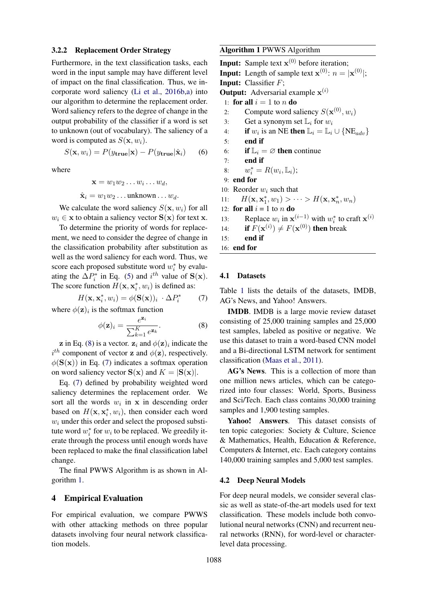## 3.2.2 Replacement Order Strategy

Furthermore, in the text classification tasks, each word in the input sample may have different level of impact on the final classification. Thus, we incorporate word saliency [\(Li et al.,](#page-8-7) [2016b,](#page-8-7)[a\)](#page-8-8) into our algorithm to determine the replacement order. Word saliency refers to the degree of change in the output probability of the classifier if a word is set to unknown (out of vocabulary). The saliency of a word is computed as  $S(\mathbf{x}, w_i)$ .

$$
S(\mathbf{x}, w_i) = P(y_{\mathbf{true}}|\mathbf{x}) - P(y_{\mathbf{true}}|\hat{\mathbf{x}}_i)
$$
 (6)

where

<span id="page-3-3"></span> $\mathbf{x} = w_1 w_2 \dots w_i \dots w_d,$  $\hat{\mathbf{x}}_i = w_1 w_2 \dots$  unknown  $\dots w_d$ .

We calculate the word saliency  $S(\mathbf{x}, w_i)$  for all  $w_i \in \mathbf{x}$  to obtain a saliency vector  $\mathbf{S}(\mathbf{x})$  for text x.

To determine the priority of words for replacement, we need to consider the degree of change in the classification probability after substitution as well as the word saliency for each word. Thus, we score each proposed substitute word  $w_i^*$  by evaluating the  $\Delta P_i^*$  in Eq. [\(5\)](#page-2-4) and  $i^{th}$  value of  $S(x)$ . The score function  $H(\mathbf{x}, \mathbf{x}_i^*, w_i)$  is defined as:

$$
H(\mathbf{x}, \mathbf{x}_i^*, w_i) = \phi(\mathbf{S}(\mathbf{x}))_i \cdot \Delta P_i^* \tag{7}
$$

where  $\phi(\mathbf{z})_i$  is the softmax function

$$
\phi(\mathbf{z})_i = \frac{e^{\mathbf{z}_i}}{\sum_{k=1}^K e^{\mathbf{z}_k}}.\tag{8}
$$

**z** in Eq. [\(8\)](#page-3-0) is a vector.  $z_i$  and  $\phi(z)_i$  indicate the  $i^{th}$  component of vector **z** and  $\phi(\mathbf{z})$ , respectively.  $\phi(\mathbf{S}(\mathbf{x}))$  in Eq. [\(7\)](#page-3-1) indicates a softmax operation on word saliency vector  $S(x)$  and  $K = |S(x)|$ .

Eq. [\(7\)](#page-3-1) defined by probability weighted word saliency determines the replacement order. We sort all the words  $w_i$  in  $x$  in descending order based on  $H(\mathbf{x}, \mathbf{x}_i^*, w_i)$ , then consider each word  $w_i$  under this order and select the proposed substitute word  $w_i^*$  for  $w_i$  to be replaced. We greedily iterate through the process until enough words have been replaced to make the final classification label change.

The final PWWS Algorithm is as shown in Algorithm [1.](#page-3-2)

#### 4 Empirical Evaluation

For empirical evaluation, we compare PWWS with other attacking methods on three popular datasets involving four neural network classification models.

## <span id="page-3-2"></span>Algorithm 1 PWWS Algorithm

**Input:** Sample text  $x^{(0)}$  before iteration; **Input:** Length of sample text  $\mathbf{x}^{(0)}$ :  $n = |\mathbf{x}^{(0)}|$ ; Input: Classifier F; **Output:** Adversarial example  $\mathbf{x}^{(i)}$ 1: for all  $i = 1$  to n do 2: Compute word saliency  $S(\mathbf{x}^{(0)}, w_i)$ 3: Get a synonym set  $\mathbb{L}_i$  for  $w_i$ 4: if  $w_i$  is an NE then  $\mathbb{L}_i = \mathbb{L}_i \cup \{ \text{NE}_{adv} \}$ 5: end if 6: if  $\mathbb{L}_i = \emptyset$  then continue 7: end if 8:  $w_i^* = R(w_i, \mathbb{L}_i);$ 9: end for 10: Reorder  $w_i$  such that 11:  $H(\mathbf{x}, \mathbf{x}_1^*, w_1) > \cdots > H(\mathbf{x}, \mathbf{x}_n^*, w_n)$ 12: **for all**  $i = 1$  to *n* **do** 13: Replace  $w_i$  in  $\mathbf{x}^{(i-1)}$  with  $w_i^*$  to craft  $\mathbf{x}^{(i)}$ 14: **if**  $F(\mathbf{x}^{(i)}) \neq F(\mathbf{x}^{(0)})$  then break 15: end if 16: end for

#### <span id="page-3-1"></span>4.1 Datasets

Table [1](#page-4-0) lists the details of the datasets, IMDB, AG's News, and Yahoo! Answers.

<span id="page-3-0"></span>IMDB. IMDB is a large movie review dataset consisting of 25,000 training samples and 25,000 test samples, labeled as positive or negative. We use this dataset to train a word-based CNN model and a Bi-directional LSTM network for sentiment classification [\(Maas et al.,](#page-9-10) [2011\)](#page-9-10).

AG's News. This is a collection of more than one million news articles, which can be categorized into four classes: World, Sports, Business and Sci/Tech. Each class contains 30,000 training samples and 1,900 testing samples.

Yahoo! Answers. This dataset consists of ten topic categories: Society & Culture, Science & Mathematics, Health, Education & Reference, Computers & Internet, etc. Each category contains 140,000 training samples and 5,000 test samples.

#### <span id="page-3-4"></span>4.2 Deep Neural Models

For deep neural models, we consider several classic as well as state-of-the-art models used for text classification. These models include both convolutional neural networks (CNN) and recurrent neural networks (RNN), for word-level or characterlevel data processing.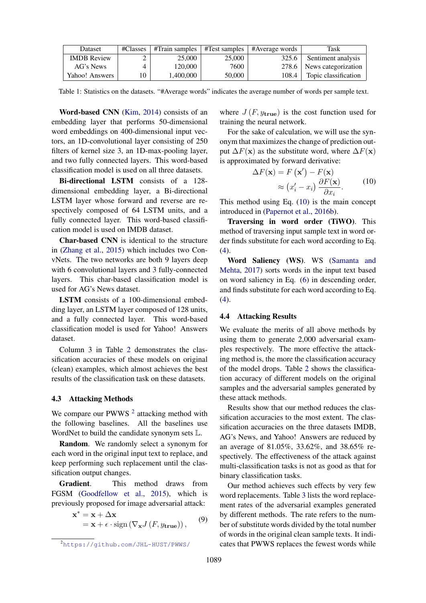<span id="page-4-0"></span>

| Dataset            | #Classes | $\#$ Train samples $\ $ #Test samples $\ $ |        | #Average words | Task                        |
|--------------------|----------|--------------------------------------------|--------|----------------|-----------------------------|
| <b>IMDB</b> Review | ∠        | 25,000                                     | 25,000 | 325.6          | Sentiment analysis          |
| AG's News          |          | 120.000                                    | 7600   |                | 278.6   News categorization |
| Yahoo! Answers     | 10       | 1.400.000                                  | 50,000 | 108.4          | Topic classification        |

Table 1: Statistics on the datasets. "#Average words" indicates the average number of words per sample text.

Word-based CNN [\(Kim,](#page-8-9) [2014\)](#page-8-9) consists of an embedding layer that performs 50-dimensional word embeddings on 400-dimensional input vectors, an 1D-convolutional layer consisting of 250 filters of kernel size 3, an 1D-max-pooling layer, and two fully connected layers. This word-based classification model is used on all three datasets.

Bi-directional LSTM consists of a 128dimensional embedding layer, a Bi-directional LSTM layer whose forward and reverse are respectively composed of 64 LSTM units, and a fully connected layer. This word-based classification model is used on IMDB dataset.

Char-based CNN is identical to the structure in [\(Zhang et al.,](#page-9-11) [2015\)](#page-9-11) which includes two ConvNets. The two networks are both 9 layers deep with 6 convolutional layers and 3 fully-connected layers. This char-based classification model is used for AG's News dataset.

LSTM consists of a 100-dimensional embedding layer, an LSTM layer composed of 128 units, and a fully connected layer. This word-based classification model is used for Yahoo! Answers dataset.

Column 3 in Table [2](#page-5-0) demonstrates the classification accuracies of these models on original (clean) examples, which almost achieves the best results of the classification task on these datasets.

## 4.3 Attacking Methods

We compare our PWWS  $<sup>2</sup>$  $<sup>2</sup>$  $<sup>2</sup>$  attacking method with</sup> the following baselines. All the baselines use WordNet to build the candidate synonym sets L.

Random. We randomly select a synonym for each word in the original input text to replace, and keep performing such replacement until the classification output changes.

Gradient. This method draws from FGSM [\(Goodfellow et al.,](#page-8-0) [2015\)](#page-8-0), which is previously proposed for image adversarial attack:

$$
\mathbf{x}^* = \mathbf{x} + \Delta \mathbf{x} \n= \mathbf{x} + \epsilon \cdot \text{sign}\left(\nabla_{\mathbf{x}} J\left(F, y_{\text{true}}\right)\right),
$$
\n(9)

where  $J(F, y_{true})$  is the cost function used for training the neural network.

For the sake of calculation, we will use the synonym that maximizes the change of prediction output  $\Delta F(\mathbf{x})$  as the substitute word, where  $\Delta F(\mathbf{x})$ is approximated by forward derivative:

<span id="page-4-2"></span>
$$
\Delta F(\mathbf{x}) = F(\mathbf{x'}) - F(\mathbf{x})
$$

$$
\approx (x_i' - x_i) \frac{\partial F(\mathbf{x})}{\partial x_i}.
$$
(10)

This method using Eq. [\(10\)](#page-4-2) is the main concept introduced in [\(Papernot et al.,](#page-9-6) [2016b\)](#page-9-6).

Traversing in word order (TiWO). This method of traversing input sample text in word order finds substitute for each word according to Eq. [\(4\)](#page-2-3).

Word Saliency (WS). WS [\(Samanta and](#page-9-5) [Mehta,](#page-9-5) [2017\)](#page-9-5) sorts words in the input text based on word saliency in Eq. [\(6\)](#page-3-3) in descending order, and finds substitute for each word according to Eq. [\(4\)](#page-2-3).

## 4.4 Attacking Results

We evaluate the merits of all above methods by using them to generate 2,000 adversarial examples respectively. The more effective the attacking method is, the more the classification accuracy of the model drops. Table [2](#page-5-0) shows the classification accuracy of different models on the original samples and the adversarial samples generated by these attack methods.

Results show that our method reduces the classification accuracies to the most extent. The classification accuracies on the three datasets IMDB, AG's News, and Yahoo! Answers are reduced by an average of 81.05%, 33.62%, and 38.65% respectively. The effectiveness of the attack against multi-classification tasks is not as good as that for binary classification tasks.

Our method achieves such effects by very few word replacements. Table [3](#page-5-1) lists the word replacement rates of the adversarial examples generated by different methods. The rate refers to the number of substitute words divided by the total number of words in the original clean sample texts. It indicates that PWWS replaces the fewest words while

<span id="page-4-1"></span><sup>2</sup><https://github.com/JHL-HUST/PWWS/>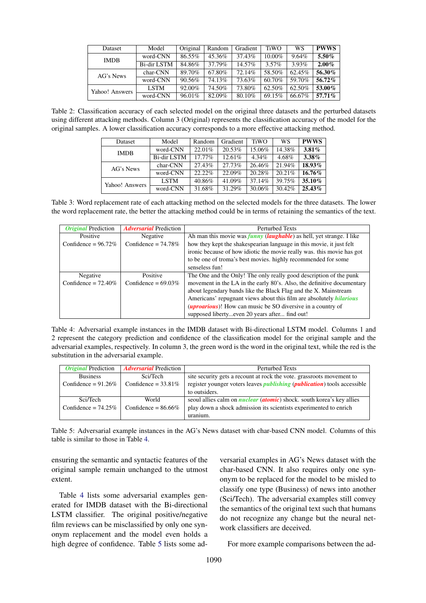<span id="page-5-0"></span>

| Dataset        | Model       | Original | Random | Gradient | <b>TiWO</b> | WS       | <b>PWWS</b> |
|----------------|-------------|----------|--------|----------|-------------|----------|-------------|
| <b>IMDB</b>    | word-CNN    | 86.55%   | 45.36% | 37.43%   | 10.00%      | $9.64\%$ | 5.50%       |
|                | Bi-dir LSTM | 84.86%   | 37.79% | 14.57%   | $3.57\%$    | $3.93\%$ | $2.00\%$    |
| AG's News      | char-CNN    | 89.70%   | 67.80% | 72.14%   | 58.50%      | 62.45%   | 56.30%      |
|                | word-CNN    | 90.56%   | 74.13% | 73.63%   | 60.70%      | 59.70%   | 56.72%      |
| Yahoo! Answers | <b>LSTM</b> | 92.00%   | 74.50% | 73.80%   | 62.50%      | 62.50%   | 53.00%      |
|                | word-CNN    | 96.01%   | 82.09% | 80.10%   | 69.15%      | 66.67%   | $57.71\%$   |

<span id="page-5-1"></span>Table 2: Classification accuracy of each selected model on the original three datasets and the perturbed datasets using different attacking methods. Column 3 (Original) represents the classification accuracy of the model for the original samples. A lower classification accuracy corresponds to a more effective attacking method.

| <b>Dataset</b> | Model              | Random    | Gradient | <b>TiWO</b> | WS     | <b>PWWS</b> |
|----------------|--------------------|-----------|----------|-------------|--------|-------------|
| <b>IMDB</b>    | word-CNN           | 22.01%    | 20.53%   | 15.06%      | 14.38% | $3.81\%$    |
|                | <b>Bi-dir LSTM</b> | $17.77\%$ | 12.61%   | $4.34\%$    | 4.68%  | $3.38\%$    |
| AG's News      | char-CNN           | 27.43%    | 27.73%   | 26.46%      | 21.94% | 18.93%      |
|                | word-CNN           | 22.22%    | 22.09%   | 20.28%      | 20.21% | 16.76%      |
| Yahoo! Answers | <b>LSTM</b>        | 40.86%    | 41.09%   | 37.14%      | 39.75% | 35.10%      |
|                | word-CNN           | 31.68%    | 31.29%   | 30.06%      | 30.42% | $25.43\%$   |

Table 3: Word replacement rate of each attacking method on the selected models for the three datasets. The lower the word replacement rate, the better the attacking method could be in terms of retaining the semantics of the text.

<span id="page-5-2"></span>

| <i><b>Original Prediction</b></i> | <b>Adversarial Prediction</b> | <b>Perturbed Texts</b>                                                               |
|-----------------------------------|-------------------------------|--------------------------------------------------------------------------------------|
|                                   |                               |                                                                                      |
| Positive                          | Negative                      | Ah man this movie was <i>funny</i> ( <i>laughable</i> ) as hell, yet strange. I like |
| Confidence = $96.72\%$            | Confidence = $74.78\%$        | how they kept the shakespearian language in this movie, it just felt                 |
|                                   |                               | ironic because of how idiotic the movie really was, this movie has got               |
|                                   |                               | to be one of troma's best movies. highly recommended for some                        |
|                                   |                               | senseless fun!                                                                       |
| Negative                          | Positive                      | The One and the Only! The only really good description of the punk                   |
| Confidence = $72.40\%$            | Confidence = $69.03\%$        | movement in the LA in the early 80's. Also, the definitive documentary               |
|                                   |                               | about legendary bands like the Black Flag and the X. Mainstream                      |
|                                   |                               | Americans' repugnant views about this film are absolutely <i>hilarious</i>           |
|                                   |                               | <i>(uproarious)</i> ! How can music be SO diversive in a country of                  |
|                                   |                               | supposed libertyeven 20 years after find out!                                        |

Table 4: Adversarial example instances in the IMDB dataset with Bi-directional LSTM model. Columns 1 and 2 represent the category prediction and confidence of the classification model for the original sample and the adversarial examples, respectively. In column 3, the green word is the word in the original text, while the red is the substitution in the adversarial example.

<span id="page-5-3"></span>

| <i><b>Original Prediction</b></i> | <b><i>Adversarial</i></b> Prediction | <b>Perturbed Texts</b>                                                                   |
|-----------------------------------|--------------------------------------|------------------------------------------------------------------------------------------|
| <b>Business</b>                   | Sci/Tech                             | site security gets a recount at rock the vote. grassroots movement to                    |
| Confidence = $91.26\%$            | Confidence = $33.81\%$               | register younger voters leaves <i>publishing</i> ( <i>publication</i> ) tools accessible |
|                                   |                                      | to outsiders.                                                                            |
| Sci/Tech                          | World                                | seoul allies calm on <i>nuclear</i> ( <i>atomic</i> ) shock. south korea's key allies    |
| Confidence = $74.25\%$            | Confidence = $86.66\%$               | play down a shock admission its scientists experimented to enrich                        |
|                                   |                                      | uranium.                                                                                 |

Table 5: Adversarial example instances in the AG's News dataset with char-based CNN model. Columns of this table is similar to those in Table [4.](#page-5-2)

ensuring the semantic and syntactic features of the original sample remain unchanged to the utmost extent.

Table [4](#page-5-2) lists some adversarial examples generated for IMDB dataset with the Bi-directional LSTM classifier. The original positive/negative film reviews can be misclassified by only one synonym replacement and the model even holds a high degree of confidence. Table [5](#page-5-3) lists some ad-

versarial examples in AG's News dataset with the char-based CNN. It also requires only one synonym to be replaced for the model to be misled to classify one type (Business) of news into another (Sci/Tech). The adversarial examples still convey the semantics of the original text such that humans do not recognize any change but the neural network classifiers are deceived.

For more example comparisons between the ad-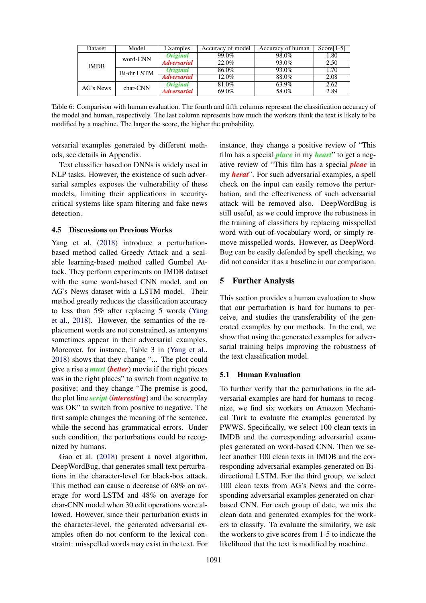<span id="page-6-0"></span>

| Dataset     | Model       | Examples               | Accuracy of model | Accuracy of human | $Score[1-5]$ |
|-------------|-------------|------------------------|-------------------|-------------------|--------------|
|             | word-CNN    | <i><b>Original</b></i> | 99.0%             | 98.0%             | 1.80         |
| <b>IMDB</b> |             | <b>Adversarial</b>     | $22.0\%$          | 93.0%             | 2.50         |
|             | Bi-dir LSTM | <i><b>Original</b></i> | 86.0%             | 93.0%             | 1.70         |
|             |             | <b>Adversarial</b>     | 12.0%             | 88.0%             | 2.08         |
| AG's News   | char-CNN    | <i><b>Original</b></i> | 81.0%             | 63.9%             | 2.62         |
|             |             | <b>Adversarial</b>     | 69.0%             | 58.0%             | 2.89         |

Table 6: Comparison with human evaluation. The fourth and fifth columns represent the classification accuracy of the model and human, respectively. The last column represents how much the workers think the text is likely to be modified by a machine. The larger the score, the higher the probability.

versarial examples generated by different methods, see details in Appendix.

Text classifier based on DNNs is widely used in NLP tasks. However, the existence of such adversarial samples exposes the vulnerability of these models, limiting their applications in securitycritical systems like spam filtering and fake news detection.

## 4.5 Discussions on Previous Works

Yang et al. [\(2018\)](#page-9-8) introduce a perturbationbased method called Greedy Attack and a scalable learning-based method called Gumbel Attack. They perform experiments on IMDB dataset with the same word-based CNN model, and on AG's News dataset with a LSTM model. Their method greatly reduces the classification accuracy to less than 5% after replacing 5 words [\(Yang](#page-9-8) [et al.,](#page-9-8) [2018\)](#page-9-8). However, the semantics of the replacement words are not constrained, as antonyms sometimes appear in their adversarial examples. Moreover, for instance, Table 3 in [\(Yang et al.,](#page-9-8) [2018\)](#page-9-8) shows that they change "... The plot could give a rise a *must* (*better*) movie if the right pieces was in the right places" to switch from negative to positive; and they change "The premise is good, the plot line *script* (*interesting*) and the screenplay was OK" to switch from positive to negative. The first sample changes the meaning of the sentence, while the second has grammatical errors. Under such condition, the perturbations could be recognized by humans.

Gao et al. [\(2018\)](#page-8-5) present a novel algorithm, DeepWordBug, that generates small text perturbations in the character-level for black-box attack. This method can cause a decrease of 68% on average for word-LSTM and 48% on average for char-CNN model when 30 edit operations were allowed. However, since their perturbation exists in the character-level, the generated adversarial examples often do not conform to the lexical constraint: misspelled words may exist in the text. For instance, they change a positive review of "This film has a special *place* in my *heart*" to get a negative review of "This film has a special *plcae* in my *herat*". For such adversarial examples, a spell check on the input can easily remove the perturbation, and the effectiveness of such adversarial attack will be removed also. DeepWordBug is still useful, as we could improve the robustness in the training of classifiers by replacing misspelled word with out-of-vocabulary word, or simply remove misspelled words. However, as DeepWord-Bug can be easily defended by spell checking, we did not consider it as a baseline in our comparison.

## 5 Further Analysis

This section provides a human evaluation to show that our perturbation is hard for humans to perceive, and studies the transferability of the generated examples by our methods. In the end, we show that using the generated examples for adversarial training helps improving the robustness of the text classification model.

## 5.1 Human Evaluation

To further verify that the perturbations in the adversarial examples are hard for humans to recognize, we find six workers on Amazon Mechanical Turk to evaluate the examples generated by PWWS. Specifically, we select 100 clean texts in IMDB and the corresponding adversarial examples generated on word-based CNN. Then we select another 100 clean texts in IMDB and the corresponding adversarial examples generated on Bidirectional LSTM. For the third group, we select 100 clean texts from AG's News and the corresponding adversarial examples generated on charbased CNN. For each group of date, we mix the clean data and generated examples for the workers to classify. To evaluate the similarity, we ask the workers to give scores from 1-5 to indicate the likelihood that the text is modified by machine.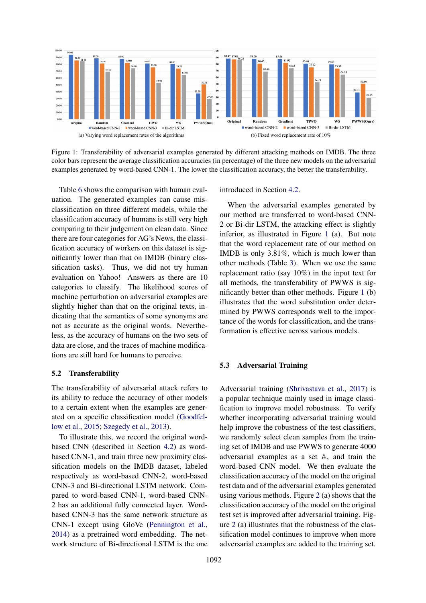<span id="page-7-0"></span>

Figure 1: Transferability of adversarial examples generated by different attacking methods on IMDB. The three color bars represent the average classification accuracies (in percentage) of the three new models on the adversarial examples generated by word-based CNN-1. The lower the classification accuracy, the better the transferability.

Table [6](#page-6-0) shows the comparison with human evaluation. The generated examples can cause misclassification on three different models, while the classification accuracy of humans is still very high comparing to their judgement on clean data. Since there are four categories for AG's News, the classification accuracy of workers on this dataset is significantly lower than that on IMDB (binary classification tasks). Thus, we did not try human evaluation on Yahoo! Answers as there are 10 categories to classify. The likelihood scores of machine perturbation on adversarial examples are slightly higher than that on the original texts, indicating that the semantics of some synonyms are not as accurate as the original words. Nevertheless, as the accuracy of humans on the two sets of data are close, and the traces of machine modifications are still hard for humans to perceive.

## 5.2 Transferability

The transferability of adversarial attack refers to its ability to reduce the accuracy of other models to a certain extent when the examples are generated on a specific classification model [\(Goodfel](#page-8-0)[low et al.,](#page-8-0) [2015;](#page-8-0) [Szegedy et al.,](#page-9-0) [2013\)](#page-9-0).

To illustrate this, we record the original wordbased CNN (described in Section [4.2\)](#page-3-4) as wordbased CNN-1, and train three new proximity classification models on the IMDB dataset, labeled respectively as word-based CNN-2, word-based CNN-3 and Bi-directional LSTM network. Compared to word-based CNN-1, word-based CNN-2 has an additional fully connected layer. Wordbased CNN-3 has the same network structure as CNN-1 except using GloVe [\(Pennington et al.,](#page-9-12) [2014\)](#page-9-12) as a pretrained word embedding. The network structure of Bi-directional LSTM is the one introduced in Section [4.2.](#page-3-4)

When the adversarial examples generated by our method are transferred to word-based CNN-2 or Bi-dir LSTM, the attacking effect is slightly inferior, as illustrated in Figure [1](#page-7-0) (a). But note that the word replacement rate of our method on IMDB is only 3.81%, which is much lower than other methods (Table [3\)](#page-5-1). When we use the same replacement ratio (say 10%) in the input text for all methods, the transferability of PWWS is significantly better than other methods. Figure [1](#page-7-0) (b) illustrates that the word substitution order determined by PWWS corresponds well to the importance of the words for classification, and the transformation is effective across various models.

## 5.3 Adversarial Training

Adversarial training [\(Shrivastava et al.,](#page-9-13) [2017\)](#page-9-13) is a popular technique mainly used in image classification to improve model robustness. To verify whether incorporating adversarial training would help improve the robustness of the test classifiers, we randomly select clean samples from the training set of IMDB and use PWWS to generate 4000 adversarial examples as a set A, and train the word-based CNN model. We then evaluate the classification accuracy of the model on the original test data and of the adversarial examples generated using various methods. Figure [2](#page-8-10) (a) shows that the classification accuracy of the model on the original test set is improved after adversarial training. Figure [2](#page-8-10) (a) illustrates that the robustness of the classification model continues to improve when more adversarial examples are added to the training set.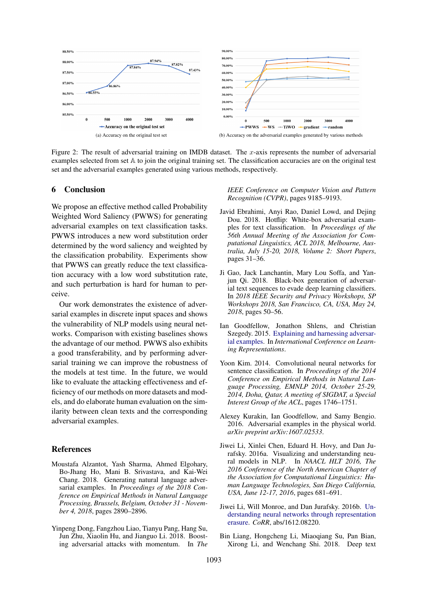<span id="page-8-10"></span>

Figure 2: The result of adversarial training on IMDB dataset. The x-axis represents the number of adversarial examples selected from set A to join the original training set. The classification accuracies are on the original test set and the adversarial examples generated using various methods, respectively.

## 6 Conclusion

We propose an effective method called Probability Weighted Word Saliency (PWWS) for generating adversarial examples on text classification tasks. PWWS introduces a new word substitution order determined by the word saliency and weighted by the classification probability. Experiments show that PWWS can greatly reduce the text classification accuracy with a low word substitution rate, and such perturbation is hard for human to perceive.

Our work demonstrates the existence of adversarial examples in discrete input spaces and shows the vulnerability of NLP models using neural networks. Comparison with existing baselines shows the advantage of our method. PWWS also exhibits a good transferability, and by performing adversarial training we can improve the robustness of the models at test time. In the future, we would like to evaluate the attacking effectiveness and efficiency of our methods on more datasets and models, and do elaborate human evaluation on the similarity between clean texts and the corresponding adversarial examples.

#### References

- <span id="page-8-4"></span>Moustafa Alzantot, Yash Sharma, Ahmed Elgohary, Bo-Jhang Ho, Mani B. Srivastava, and Kai-Wei Chang. 2018. Generating natural language adversarial examples. In *Proceedings of the 2018 Conference on Empirical Methods in Natural Language Processing, Brussels, Belgium, October 31 - November 4, 2018*, pages 2890–2896.
- <span id="page-8-2"></span>Yinpeng Dong, Fangzhou Liao, Tianyu Pang, Hang Su, Jun Zhu, Xiaolin Hu, and Jianguo Li. 2018. Boosting adversarial attacks with momentum. In *The*

*IEEE Conference on Computer Vision and Pattern Recognition (CVPR)*, pages 9185–9193.

- <span id="page-8-6"></span>Javid Ebrahimi, Anyi Rao, Daniel Lowd, and Dejing Dou. 2018. Hotflip: White-box adversarial examples for text classification. In *Proceedings of the 56th Annual Meeting of the Association for Computational Linguistics, ACL 2018, Melbourne, Australia, July 15-20, 2018, Volume 2: Short Papers*, pages 31–36.
- <span id="page-8-5"></span>Ji Gao, Jack Lanchantin, Mary Lou Soffa, and Yanjun Qi. 2018. Black-box generation of adversarial text sequences to evade deep learning classifiers. In *2018 IEEE Security and Privacy Workshops, SP Workshops 2018, San Francisco, CA, USA, May 24, 2018*, pages 50–56.
- <span id="page-8-0"></span>Ian Goodfellow, Jonathon Shlens, and Christian Szegedy. 2015. [Explaining and harnessing adversar](http://arxiv.org/abs/1412.6572)[ial examples.](http://arxiv.org/abs/1412.6572) In *International Conference on Learning Representations*.
- <span id="page-8-9"></span>Yoon Kim. 2014. Convolutional neural networks for sentence classification. In *Proceedings of the 2014 Conference on Empirical Methods in Natural Language Processing, EMNLP 2014, October 25-29, 2014, Doha, Qatar, A meeting of SIGDAT, a Special Interest Group of the ACL*, pages 1746–1751.
- <span id="page-8-1"></span>Alexey Kurakin, Ian Goodfellow, and Samy Bengio. 2016. Adversarial examples in the physical world. *arXiv preprint arXiv:1607.02533*.
- <span id="page-8-8"></span>Jiwei Li, Xinlei Chen, Eduard H. Hovy, and Dan Jurafsky. 2016a. Visualizing and understanding neural models in NLP. In *NAACL HLT 2016, The 2016 Conference of the North American Chapter of the Association for Computational Linguistics: Human Language Technologies, San Diego California, USA, June 12-17, 2016*, pages 681–691.
- <span id="page-8-7"></span>Jiwei Li, Will Monroe, and Dan Jurafsky. 2016b. [Un](http://arxiv.org/abs/1612.08220)[derstanding neural networks through representation](http://arxiv.org/abs/1612.08220) [erasure.](http://arxiv.org/abs/1612.08220) *CoRR*, abs/1612.08220.
- <span id="page-8-3"></span>Bin Liang, Hongcheng Li, Miaoqiang Su, Pan Bian, Xirong Li, and Wenchang Shi. 2018. Deep text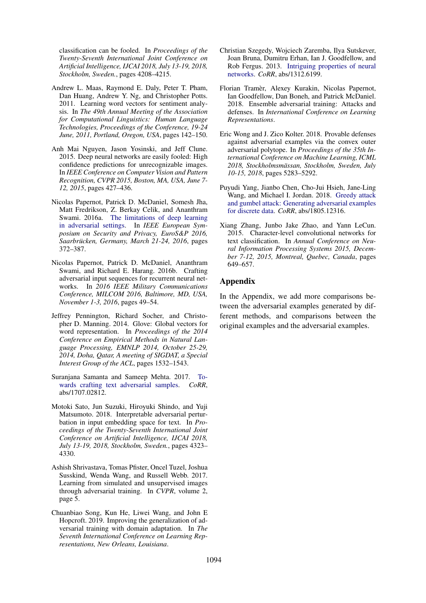classification can be fooled. In *Proceedings of the Twenty-Seventh International Joint Conference on Artificial Intelligence, IJCAI 2018, July 13-19, 2018, Stockholm, Sweden.*, pages 4208–4215.

- <span id="page-9-10"></span>Andrew L. Maas, Raymond E. Daly, Peter T. Pham, Dan Huang, Andrew Y. Ng, and Christopher Potts. 2011. Learning word vectors for sentiment analysis. In *The 49th Annual Meeting of the Association for Computational Linguistics: Human Language Technologies, Proceedings of the Conference, 19-24 June, 2011, Portland, Oregon, USA*, pages 142–150.
- <span id="page-9-1"></span>Anh Mai Nguyen, Jason Yosinski, and Jeff Clune. 2015. Deep neural networks are easily fooled: High confidence predictions for unrecognizable images. In *IEEE Conference on Computer Vision and Pattern Recognition, CVPR 2015, Boston, MA, USA, June 7- 12, 2015*, pages 427–436.
- <span id="page-9-7"></span>Nicolas Papernot, Patrick D. McDaniel, Somesh Jha, Matt Fredrikson, Z. Berkay Celik, and Ananthram Swami. 2016a. [The limitations of deep learning](https://doi.org/10.1109/EuroSP.2016.36) [in adversarial settings.](https://doi.org/10.1109/EuroSP.2016.36) In *IEEE European Symposium on Security and Privacy, EuroS&P 2016, Saarbrucken, Germany, March 21-24, 2016 ¨* , pages 372–387.
- <span id="page-9-6"></span>Nicolas Papernot, Patrick D. McDaniel, Ananthram Swami, and Richard E. Harang. 2016b. Crafting adversarial input sequences for recurrent neural networks. In *2016 IEEE Military Communications Conference, MILCOM 2016, Baltimore, MD, USA, November 1-3, 2016*, pages 49–54.
- <span id="page-9-12"></span>Jeffrey Pennington, Richard Socher, and Christopher D. Manning. 2014. Glove: Global vectors for word representation. In *Proceedings of the 2014 Conference on Empirical Methods in Natural Language Processing, EMNLP 2014, October 25-29, 2014, Doha, Qatar, A meeting of SIGDAT, a Special Interest Group of the ACL*, pages 1532–1543.
- <span id="page-9-5"></span>Suranjana Samanta and Sameep Mehta. 2017. [To](http://arxiv.org/abs/1707.02812)[wards crafting text adversarial samples.](http://arxiv.org/abs/1707.02812) *CoRR*, abs/1707.02812.
- <span id="page-9-9"></span>Motoki Sato, Jun Suzuki, Hiroyuki Shindo, and Yuji Matsumoto. 2018. Interpretable adversarial perturbation in input embedding space for text. In *Proceedings of the Twenty-Seventh International Joint Conference on Artificial Intelligence, IJCAI 2018, July 13-19, 2018, Stockholm, Sweden.*, pages 4323– 4330.
- <span id="page-9-13"></span>Ashish Shrivastava, Tomas Pfister, Oncel Tuzel, Joshua Susskind, Wenda Wang, and Russell Webb. 2017. Learning from simulated and unsupervised images through adversarial training. In *CVPR*, volume 2, page 5.
- <span id="page-9-4"></span>Chuanbiao Song, Kun He, Liwei Wang, and John E Hopcroft. 2019. Improving the generalization of adversarial training with domain adaptation. In *The Seventh International Conference on Learning Representations, New Orleans, Louisiana*.
- <span id="page-9-0"></span>Christian Szegedy, Wojciech Zaremba, Ilya Sutskever, Joan Bruna, Dumitru Erhan, Ian J. Goodfellow, and Rob Fergus. 2013. [Intriguing properties of neural](http://arxiv.org/abs/1312.6199) [networks.](http://arxiv.org/abs/1312.6199) *CoRR*, abs/1312.6199.
- <span id="page-9-2"></span>Florian Tramer, Alexey Kurakin, Nicolas Papernot, ` Ian Goodfellow, Dan Boneh, and Patrick McDaniel. 2018. Ensemble adversarial training: Attacks and defenses. In *International Conference on Learning Representations*.
- <span id="page-9-3"></span>Eric Wong and J. Zico Kolter. 2018. Provable defenses against adversarial examples via the convex outer adversarial polytope. In *Proceedings of the 35th International Conference on Machine Learning, ICML 2018, Stockholmsmassan, Stockholm, Sweden, July ¨ 10-15, 2018*, pages 5283–5292.
- <span id="page-9-8"></span>Puyudi Yang, Jianbo Chen, Cho-Jui Hsieh, Jane-Ling Wang, and Michael I. Jordan. 2018. [Greedy attack](http://arxiv.org/abs/1805.12316) [and gumbel attack: Generating adversarial examples](http://arxiv.org/abs/1805.12316) [for discrete data.](http://arxiv.org/abs/1805.12316) *CoRR*, abs/1805.12316.
- <span id="page-9-11"></span>Xiang Zhang, Junbo Jake Zhao, and Yann LeCun. 2015. Character-level convolutional networks for text classification. In *Annual Conference on Neural Information Processing Systems 2015, December 7-12, 2015, Montreal, Quebec, Canada*, pages 649–657.

## Appendix

In the Appendix, we add more comparisons between the adversarial examples generated by different methods, and comparisons between the original examples and the adversarial examples.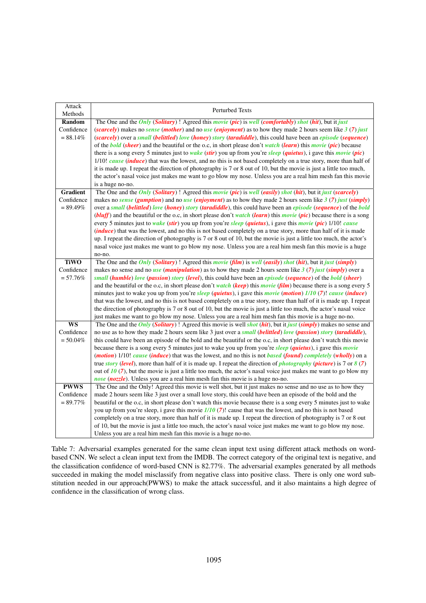| Attack<br>Methods        | <b>Perturbed Texts</b>                                                                                                                                                                                                   |
|--------------------------|--------------------------------------------------------------------------------------------------------------------------------------------------------------------------------------------------------------------------|
| Random                   | The One and the <i>Only</i> ( <i>Solitary</i> )! Agreed this <i>movie</i> ( <i>pic</i> ) is <i>well</i> ( <i>comfortably</i> ) <i>shot</i> ( <i>hit</i> ), but it <i>just</i>                                            |
| Confidence               | (scarcely) makes no sense (mother) and no use (enjoyment) as to how they made 2 hours seem like $3(7)$ just                                                                                                              |
| $= 88.14%$               | (scarcely) over a small (belittled) love (honey) story (taradiddle), this could have been an <i>episode</i> (sequence)                                                                                                   |
|                          | of the <b>bold</b> (sheer) and the beautiful or the o.c., in short please don't watch (learn) this movie (pic) because                                                                                                   |
|                          | there is a song every 5 minutes just to <i>wake</i> (stir) you up from you're sleep (quietus), i gave this <i>movie</i> (pic)                                                                                            |
|                          | 1/10! cause (induce) that was the lowest, and no this is not based completely on a true story, more than half of                                                                                                         |
|                          | it is made up. I repeat the direction of photography is 7 or 8 out of 10, but the movie is just a little too much,                                                                                                       |
|                          | the actor's nasal voice just makes me want to go blow my nose. Unless you are a real him mesh fan this movie                                                                                                             |
|                          | is a huge no-no.                                                                                                                                                                                                         |
| <b>Gradient</b>          | The One and the Only (Solitary) ! Agreed this <i>movie</i> (pic) is well (easily) shot (hit), but it just (scarcely)                                                                                                     |
| Confidence               | makes no <i>sense</i> ( <i>gumption</i> ) and no <i>use</i> ( <i>enjoyment</i> ) as to how they made 2 hours seem like $3(7)$ just ( <i>simply</i> )                                                                     |
| $= 89.49\%$              | over a small (belittled) love (honey) story (taradiddle), this could have been an episode (sequence) of the bold                                                                                                         |
|                          | ( <i>bluff</i> ) and the beautiful or the o.c, in short please don't watch ( <i>learn</i> ) this <i>movie</i> ( <i>pic</i> ) because there is a song                                                                     |
|                          | every 5 minutes just to wake (stir) you up from you're sleep (quietus), i gave this movie (pic) 1/10! cause                                                                                                              |
|                          | <i>(induce)</i> that was the lowest, and no this is not based completely on a true story, more than half of it is made                                                                                                   |
|                          | up. I repeat the direction of photography is 7 or 8 out of 10, but the movie is just a little too much, the actor's                                                                                                      |
|                          | nasal voice just makes me want to go blow my nose. Unless you are a real him mesh fan this movie is a huge                                                                                                               |
|                          | no-no.                                                                                                                                                                                                                   |
| <b>TiWO</b>              | The One and the <i>Only (Solitary)</i> ! Agreed this <i>movie (film)</i> is <i>well (easily)</i> shot (hit), but it just (simply)                                                                                        |
| Confidence               | makes no sense and no use ( <i>manipulation</i> ) as to how they made 2 hours seem like $3(7)$ just ( <i>simply</i> ) over a                                                                                             |
| $= 57.76%$               | small (humble) love (passion) story (level), this could have been an <i>episode</i> (sequence) of the <i>bold</i> (sheer)                                                                                                |
|                          | and the beautiful or the o.c., in short please don't <i>watch</i> (keep) this <i>movie</i> (film) because there is a song every 5                                                                                        |
|                          | minutes just to wake you up from you're sleep (quietus), i gave this movie (motion) $1/10$ (7)! cause (induce)                                                                                                           |
|                          | that was the lowest, and no this is not based completely on a true story, more than half of it is made up. I repeat                                                                                                      |
|                          | the direction of photography is 7 or 8 out of 10, but the movie is just a little too much, the actor's nasal voice                                                                                                       |
|                          | just makes me want to go blow my nose. Unless you are a real him mesh fan this movie is a huge no-no.                                                                                                                    |
| $\overline{\mathbf{WS}}$ | The One and the <i>Only (Solitary)</i> ! Agreed this movie is well <i>shot (hit)</i> , but it <i>just (simply)</i> makes no sense and                                                                                    |
| Confidence               | no use as to how they made 2 hours seem like 3 just over a small (belittled) love (passion) story (taradiddle),                                                                                                          |
| $= 50.04%$               | this could have been an episode of the bold and the beautiful or the o.c, in short please don't watch this movie                                                                                                         |
|                          | because there is a song every 5 minutes just to wake you up from you're sleep (quietus), i gave this movie                                                                                                               |
|                          | ( <i>motion</i> ) 1/10! cause ( <i>induce</i> ) that was the lowest, and no this is not <i>based</i> ( <i>found</i> ) completely ( <i>wholly</i> ) on a                                                                  |
|                          | true <i>story</i> (level), more than half of it is made up. I repeat the direction of <i>photography</i> ( <i>picture</i> ) is 7 or $8(7)$                                                                               |
|                          | out of $10(7)$ , but the movie is just a little too much, the actor's nasal voice just makes me want to go blow my                                                                                                       |
| <b>PWWS</b>              | nose (nozzle). Unless you are a real him mesh fan this movie is a huge no-no.                                                                                                                                            |
| Confidence               | The One and the Only! Agreed this movie is well shot, but it just makes no sense and no use as to how they<br>made 2 hours seem like 3 just over a small love story, this could have been an episode of the bold and the |
| $= 89.77\%$              | beautiful or the o.c, in short please don't watch this movie because there is a song every 5 minutes just to wake                                                                                                        |
|                          | you up from you're sleep, i gave this movie $1/10$ (7)! cause that was the lowest, and no this is not based                                                                                                              |
|                          | completely on a true story, more than half of it is made up. I repeat the direction of photography is 7 or 8 out                                                                                                         |
|                          | of 10, but the movie is just a little too much, the actor's nasal voice just makes me want to go blow my nose.                                                                                                           |
|                          |                                                                                                                                                                                                                          |
|                          | Unless you are a real him mesh fan this movie is a huge no-no.                                                                                                                                                           |

Table 7: Adversarial examples generated for the same clean input text using different attack methods on wordbased CNN. We select a clean input text from the IMDB. The correct category of the original text is negative, and the classification confidence of word-based CNN is 82.77%. The adversarial examples generated by all methods succeeded in making the model misclassify from negative class into positive class. There is only one word substitution needed in our approach(PWWS) to make the attack successful, and it also maintains a high degree of confidence in the classification of wrong class.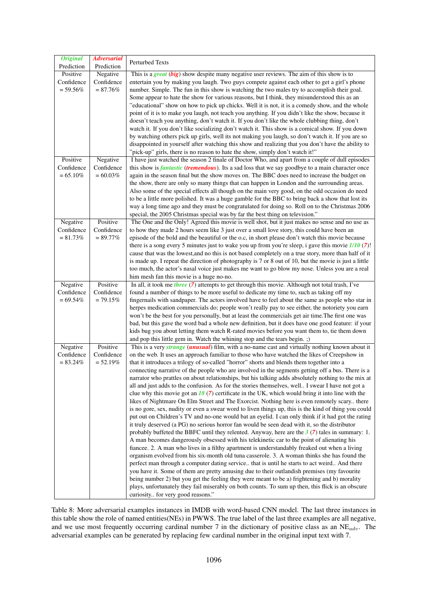| <b>Original</b><br>Prediction | <b>Adversarial</b><br>Prediction | <b>Perturbed Texts</b>                                                                                                                                                                                |
|-------------------------------|----------------------------------|-------------------------------------------------------------------------------------------------------------------------------------------------------------------------------------------------------|
| Positive                      | Negative                         | This is a great $(big)$ show despite many negative user reviews. The aim of this show is to                                                                                                           |
| Confidence                    | Confidence                       | entertain you by making you laugh. Two guys compete against each other to get a girl's phone                                                                                                          |
| $= 59.56\%$                   | $= 87.76\%$                      | number. Simple. The fun in this show is watching the two males try to accomplish their goal.                                                                                                          |
|                               |                                  | Some appear to hate the show for various reasons, but I think, they misunderstood this as an                                                                                                          |
|                               |                                  | "educational" show on how to pick up chicks. Well it is not, it is a comedy show, and the whole                                                                                                       |
|                               |                                  | point of it is to make you laugh, not teach you anything. If you didn't like the show, because it                                                                                                     |
|                               |                                  | doesn't teach you anything, don't watch it. If you don't like the whole clubbing thing, don't                                                                                                         |
|                               |                                  | watch it. If you don't like socializing don't watch it. This show is a comical show. If you down                                                                                                      |
|                               |                                  | by watching others pick up girls, well its not making you laugh, so don't watch it. If you are so                                                                                                     |
|                               |                                  | disappointed in yourself after watching this show and realizing that you don't have the ability to                                                                                                    |
|                               |                                  | "pick-up" girls, there is no reason to hate the show, simply don't watch it!"                                                                                                                         |
| Positive                      | Negative                         | I have just watched the season 2 finale of Doctor Who, and apart from a couple of dull episodes                                                                                                       |
| Confidence                    | Confidence                       | this show is <i>fantastic</i> ( <i>tremendous</i> ). Its a sad loss that we say goodbye to a main character once                                                                                      |
| $= 65.10\%$                   | $= 60.03\%$                      | again in the season final but the show moves on. The BBC does need to increase the budget on                                                                                                          |
|                               |                                  | the show, there are only so many things that can happen in London and the surrounding areas.                                                                                                          |
|                               |                                  | Also some of the special effects all though on the main very good, on the odd occasion do need                                                                                                        |
|                               |                                  | to be a little more polished. It was a huge gamble for the BBC to bring back a show that lost its                                                                                                     |
|                               |                                  | way a long time ago and they must be congratulated for doing so. Roll on to the Christmas 2006                                                                                                        |
|                               |                                  | special, the 2005 Christmas special was by far the best thing on television."                                                                                                                         |
| Negative                      | Positive                         | The One and the Only! Agreed this movie is well shot, but it just makes no sense and no use as                                                                                                        |
| Confidence                    | Confidence                       | to how they made 2 hours seem like 3 just over a small love story, this could have been an                                                                                                            |
| $= 81.73%$                    | $= 89.77\%$                      | episode of the bold and the beautiful or the o.c, in short please don't watch this movie because                                                                                                      |
|                               |                                  | there is a song every 5 minutes just to wake you up from you're sleep, i gave this movie $1/10$ (7)!                                                                                                  |
|                               |                                  | cause that was the lowest, and no this is not based completely on a true story, more than half of it                                                                                                  |
|                               |                                  | is made up. I repeat the direction of photography is 7 or 8 out of 10, but the movie is just a little                                                                                                 |
|                               |                                  | too much, the actor's nasal voice just makes me want to go blow my nose. Unless you are a real                                                                                                        |
|                               |                                  | him mesh fan this movie is a huge no-no.                                                                                                                                                              |
| Negative                      | Positive                         | In all, it took me <i>three</i> (7) attempts to get through this movie. Although not total trash, I've                                                                                                |
| Confidence                    | Confidence                       | found a number of things to be more useful to dedicate my time to, such as taking off my                                                                                                              |
| $= 69.54\%$                   | $= 79.15%$                       | fingernails with sandpaper. The actors involved have to feel about the same as people who star in                                                                                                     |
|                               |                                  | herpes medication commercials do; people won't really pay to see either, the notoriety you earn                                                                                                       |
|                               |                                  | won't be the best for you personally, but at least the commercials get air time. The first one was                                                                                                    |
|                               |                                  | bad, but this gave the word bad a whole new definition, but it does have one good feature: if your                                                                                                    |
|                               |                                  | kids bug you about letting them watch R-rated movies before you want them to, tie them down                                                                                                           |
|                               |                                  | and pop this little gem in. Watch the whining stop and the tears begin. ;)                                                                                                                            |
| Negative                      | Positive                         | This is a very <i>strange</i> ( <i>unusual</i> ) film, with a no-name cast and virtually nothing known about it                                                                                       |
| Confidence                    | Confidence                       | on the web. It uses an approach familiar to those who have watched the likes of Creepshow in                                                                                                          |
| $= 83.24%$                    | $= 52.19%$                       | that it introduces a trilogy of so-called "horror" shorts and blends them together into a                                                                                                             |
|                               |                                  | connecting narrative of the people who are involved in the segments getting off a bus. There is a                                                                                                     |
|                               |                                  | narrator who prattles on about relationships, but his talking adds absolutely nothing to the mix at                                                                                                   |
|                               |                                  | all and just adds to the confusion. As for the stories themselves, well I swear I have not got a<br>clue why this movie got an $18(7)$ certificate in the UK, which would bring it into line with the |
|                               |                                  | likes of Nightmare On Elm Street and The Exorcist. Nothing here is even remotely scary there                                                                                                          |
|                               |                                  | is no gore, sex, nudity or even a swear word to liven things up, this is the kind of thing you could                                                                                                  |
|                               |                                  | put out on Children's TV and no-one would bat an eyelid. I can only think if it had got the rating                                                                                                    |
|                               |                                  | it truly deserved (a PG) no serious horror fan would be seen dead with it, so the distributor                                                                                                         |
|                               |                                  | probably buffeted the BBFC until they relented. Anyway, here are the $3(7)$ tales in summary: 1.                                                                                                      |
|                               |                                  | A man becomes dangerously obsessed with his telekinetic car to the point of alienating his                                                                                                            |
|                               |                                  | fiancee. 2. A man who lives in a filthy apartment is understandably freaked out when a living                                                                                                         |
|                               |                                  | organism evolved from his six-month old tuna casserole. 3. A woman thinks she has found the                                                                                                           |
|                               |                                  | perfect man through a computer dating service that is until he starts to act weird And there                                                                                                          |
|                               |                                  | you have it. Some of them are pretty amusing due to their outlandish premises (my favourite                                                                                                           |
|                               |                                  | being number 2) but you get the feeling they were meant to be a) frightening and b) morality                                                                                                          |
|                               |                                  | plays, unfortunately they fail miserably on both counts. To sum up then, this flick is an obscure                                                                                                     |
|                               |                                  | curiosity for very good reasons."                                                                                                                                                                     |

Table 8: More adversarial examples instances in IMDB with word-based CNN model. The last three instances in this table show the role of named entities(NEs) in PWWS. The true label of the last three examples are all negative, and we use most frequently occurring cardinal number 7 in the dictionary of positive class as an  $NE_{adv}$ . The adversarial examples can be generated by replacing few cardinal number in the original input text with 7.